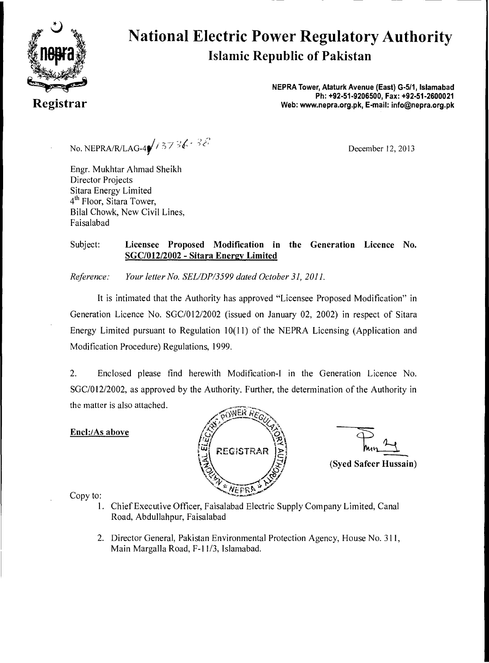

# **National Electric Power Regulatory Authority Islamic Republic of Pakistan**

**NEPRA Tower, Ataturk Avenue (East) G-5/1, Islamabad Ph: +92-51-9206500, Fax: +92-51-2600021 Registrar Web: www.nepra.org.pk, E-mail: info@nepra.org.pk** 

No. NEPRA/R/LAG-4 $\sqrt{737}$   $\sqrt{673}$   $\sqrt{213}$ 

Engr. Mukhtar Ahmad Sheikh Director Projects Sitara Energy Limited 4<sup>th</sup> Floor, Sitara Tower, Bilal Chowk, New Civil Lines, Faisalabad

#### Subject: Licensee Proposed Modification in the Generation Licence No. SGC/012/2002 - Sitara Energy Limited

*Reference: Your letter No. SEL/DP/3599 dated October 31, 2011.* 

It is intimated that the Authority has approved "Licensee Proposed Modification" in Generation Licence No. SGC/012/2002 (issued on January 02, 2002) in respect of Sitara Energy Limited pursuant to Regulation 10(11) of the NEPRA Licensing (Application and Modification Procedure) Regulations, 1999.

2. Enclosed please find herewith Modification-I in the Generation Licence No. SGC/012/2002, as approved by the Authority. Further, the determination of the Authority in the matter is also attached.

#### Encl:/As above



(Syed Safeer Hussain)

- 1. Chief Executive Officer, Faisalabad Electric Supply Company Limited, Canal Road, Abdullahpur, Faisalabad
- 2. Director General, Pakistan Environmental Protection Agency, House No. 311, Main Margalla Road, F-I 1/3, Islamabad,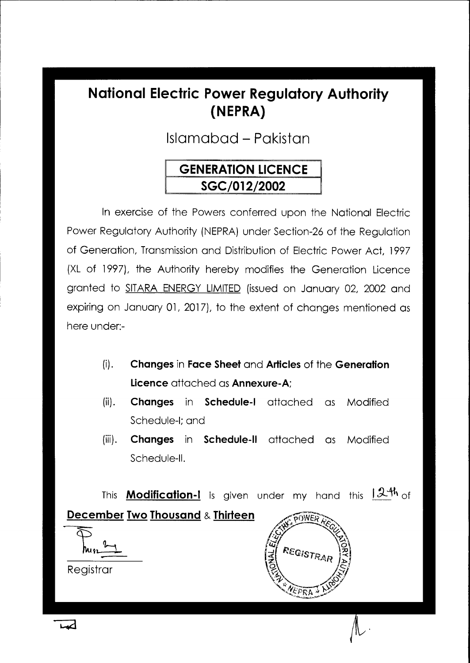# **National Electric Power Regulatory Authority (NEPRA)**

Islamabad - Pakistan

# **GENERATION LICENCE SGC/012/2002**

In exercise of the Powers conferred upon the National Electric Power Regulatory Authority (NEPRA) under Section-26 of the Regulation of Generation, Transmission and Distribution of Electric Power Act, 1997 (XL of 1997), the Authority hereby modifies the Generation Licence granted to SITARA ENERGY LIMITED (issued on January 02, 2002 and expiring on January 01, 2017), to the extent of changes mentioned as here under:-

- $(i).$ **Changes** in **Face Sheet** and **Articles** of the **Generation Licence** attached as **Annexure-A;**
- **(ii). Changes** in **Schedule-I** attached as Modified Schedule-I; and
- **(iii). Changes** in **Schedule-II** attached as Modified Schedule-II.

This **Modification-I** is given under my hand this 12th of **December Two Thousand & Thirteen**  onwer **REGISTR** Registrar

لمعدا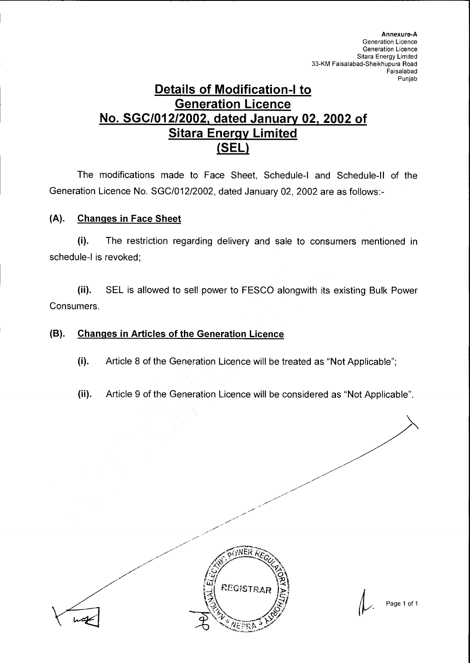### **Details of Modification-I to Generation Licence No. SGC/012/2002, dated January 02, 2002 of Sitara Energy Limited (SEL)**

The modifications made to Face Sheet, Schedule-I and Schedule-II of the Generation Licence No. SGC/012/2002, dated January 02, 2002 are as follows:-

### **(A). Changes in Face Sheet**

(i). The restriction regarding delivery and sale to consumers mentioned in schedule-I is revoked;

(ii). SEL is allowed to sell power to FESCO alongwith its existing Bulk Power Consumers.

### **(B). Changes in Articles of the Generation Licence**

- (i). Article 8 of the Generation Licence will be treated as "Not Applicable";
- (ii). Article 9 of the Generation Licence will be considered as "Not Applicable".



Page 1 of 1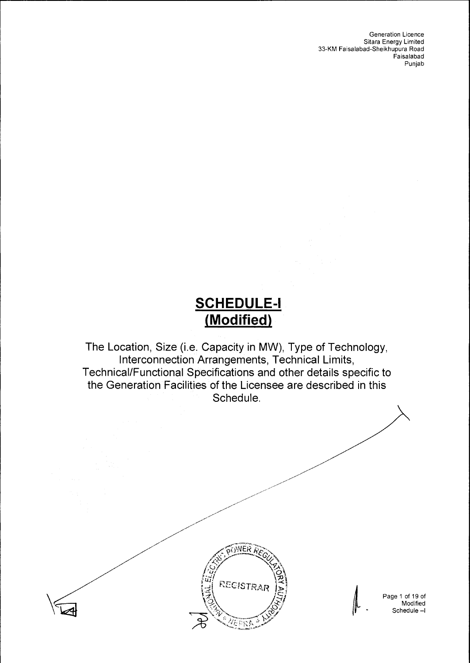Generation Licence Sitara Energy Limited 33-KM Faisalabad-Sheikhupura Road Faisalabad Punjab

# **SCHEDULE-I (Modified)**

The Location, Size (i.e. Capacity in MW), Type of Technology, Interconnection Arrangements, Technical Limits, Technical/Functional Specifications and other details specific to the Generation Facilities of the Licensee are described in this Schedule.



Page 1 of 19 of Modified Schedule —1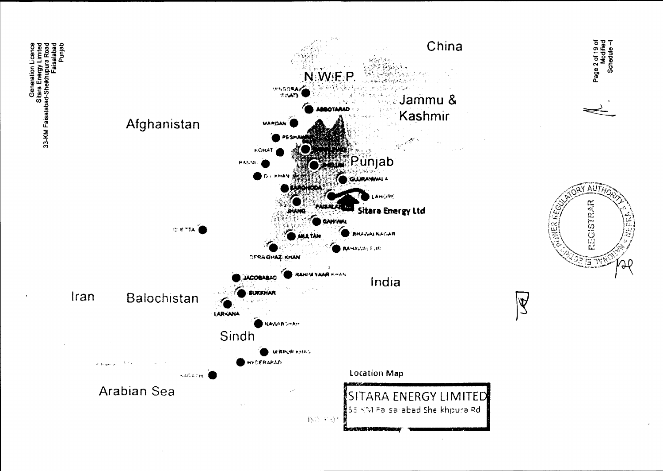



Page 2 of 19 of<br>Modified<br>Schedule – I

 $\overline{\mathbb{R}}$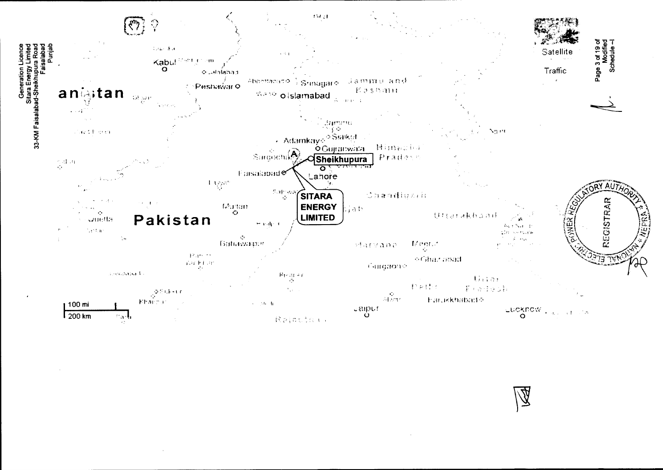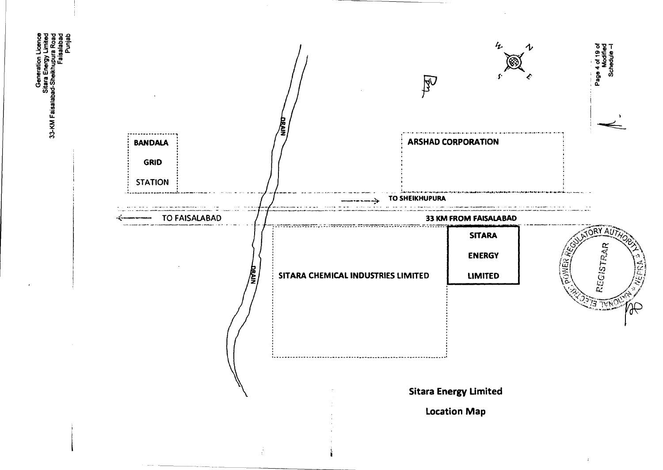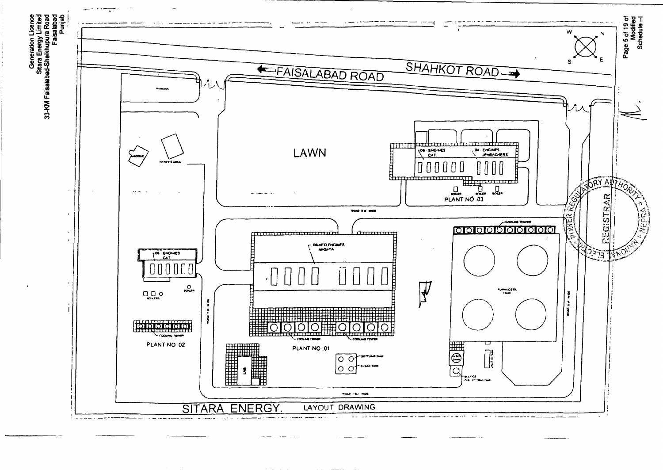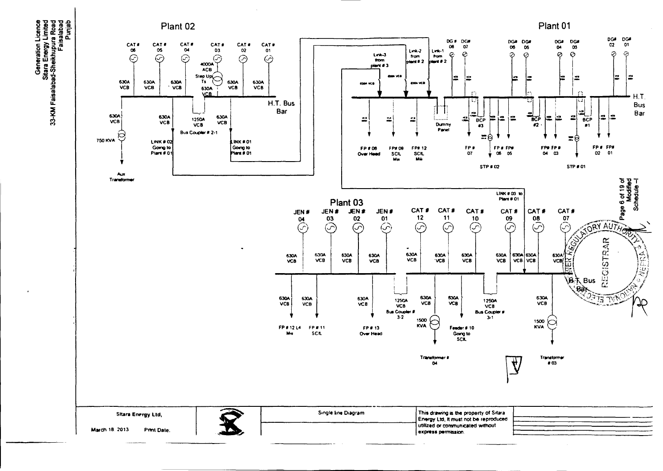

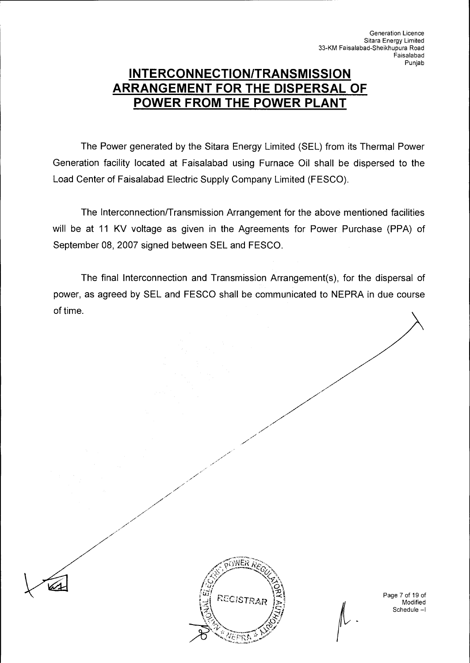### **INTERCONNECTION/TRANSMISSION ARRANGEMENT FOR THE DISPERSAL OF POWER FROM THE POWER PLANT**

The Power generated by the Sitara Energy Limited (SEL) from its Thermal Power Generation facility located at Faisalabad using Furnace Oil shall be dispersed to the Load Center of Faisalabad Electric Supply Company Limited (FESCO).

The Interconnection/Transmission Arrangement for the above mentioned facilities will be at 11 KV voltage as given in the Agreements for Power Purchase (PPA) of September 08, 2007 signed between SEL and FESCO.

The final Interconnection and Transmission Arrangement(s), for the dispersal of power, as agreed by SEL and FESCO shall be communicated to NEPRA in due course of time.



Page 7 of 19 of **Modified** Schedule —1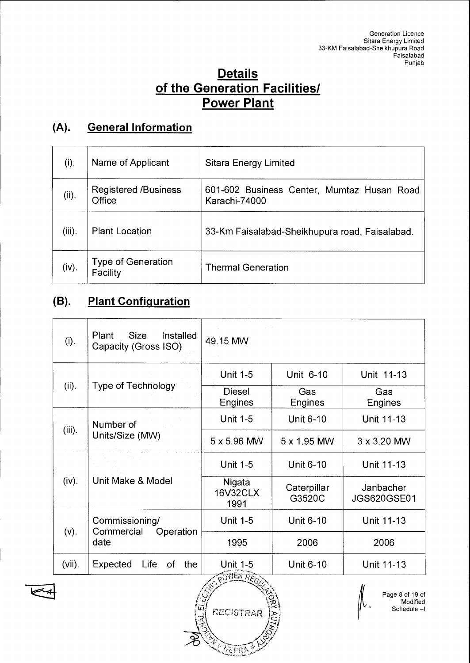### **Details of the Generation Facilities/ Power Plant**

# **(A). General Information**

| (i).      | Name of Applicant                     | Sitara Energy Limited                                       |
|-----------|---------------------------------------|-------------------------------------------------------------|
| (ii).     | <b>Registered /Business</b><br>Office | 601-602 Business Center, Mumtaz Husan Road<br>Karachi-74000 |
| $(iii)$ . | <b>Plant Location</b>                 | 33-Km Faisalabad-Sheikhupura road, Faisalabad.              |
| (iv).     | Type of Generation<br>Facility        | <b>Thermal Generation</b>                                   |

# **(B). Plant Configuration**

| (i).      | <b>Size</b><br>Installed<br>Plant<br>Capacity (Gross ISO) | 49.15 MW                                                        |                       |                                 |
|-----------|-----------------------------------------------------------|-----------------------------------------------------------------|-----------------------|---------------------------------|
|           |                                                           | <b>Unit 1-5</b>                                                 | Unit 6-10             | Unit 11-13                      |
| (ii).     | <b>Type of Technology</b>                                 | <b>Diesel</b><br>Engines                                        | Gas<br>Engines        | Gas<br>Engines                  |
|           | Number of                                                 | <b>Unit 1-5</b>                                                 | <b>Unit 6-10</b>      | Unit 11-13                      |
| $(iii)$ . | Units/Size (MW)                                           | 5 x 5.96 MW                                                     | 5 x 1.95 MW           | 3 x 3.20 MW                     |
|           |                                                           | <b>Unit 1-5</b>                                                 | <b>Unit 6-10</b>      | Unit 11-13                      |
| (iv).     | Unit Make & Model                                         | Nigata<br><b>16V32CLX</b><br>1991                               | Caterpillar<br>G3520C | Janbacher<br><b>JGS620GSE01</b> |
|           | Commissioning/                                            | <b>Unit 1-5</b>                                                 | <b>Unit 6-10</b>      | Unit 11-13                      |
| $(v)$ .   | Commercial<br>Operation<br>date                           | 1995                                                            | 2006                  | 2006                            |
| $(vii)$ . | Expected<br>Life<br>the<br>0f                             | <b>Unit 1-5</b><br><b>Unit 6-10</b><br>Unit 11-13<br>2609108885 |                       |                                 |



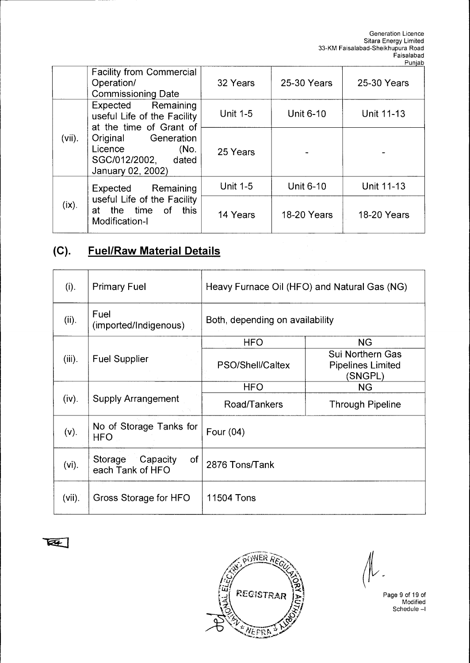|           | <b>Facility from Commercial</b><br>Operation/<br><b>Commissioning Date</b>         | 32 Years        | 25-30 Years        | 25-30 Years        |
|-----------|------------------------------------------------------------------------------------|-----------------|--------------------|--------------------|
|           | Expected Remaining<br>useful Life of the Facility<br>at the time of Grant of       | <b>Unit 1-5</b> | Unit 6-10          | Unit 11-13         |
| $(vii)$ . | Original Generation<br>Licence<br>(No.<br>SGC/012/2002, dated<br>January 02, 2002) | 25 Years        |                    |                    |
|           | Expected Remaining                                                                 | <b>Unit 1-5</b> | Unit 6-10          | Unit 11-13         |
| $(ix)$ .  | useful Life of the Facility<br>at the time of this<br>Modification-I               | 14 Years        | <b>18-20 Years</b> | <b>18-20 Years</b> |

## **(C). Fuel/Raw Material Details**

| $(i)$ .   | <b>Primary Fuel</b>                        | Heavy Furnace Oil (HFO) and Natural Gas (NG) |                                                         |
|-----------|--------------------------------------------|----------------------------------------------|---------------------------------------------------------|
| (ii).     | Fuel<br>(imported/Indigenous)              | Both, depending on availability              |                                                         |
|           |                                            | <b>HFO</b>                                   | <b>NG</b>                                               |
| $(iii)$ . | <b>Fuel Supplier</b>                       | PSO/Shell/Caltex                             | Sui Northern Gas<br><b>Pipelines Limited</b><br>(SNGPL) |
|           |                                            | <b>HFO</b>                                   | <b>NG</b>                                               |
| (iv).     | <b>Supply Arrangement</b>                  | Road/Tankers                                 | <b>Through Pipeline</b>                                 |
| $(v)$ .   | No of Storage Tanks for<br><b>HFO</b>      | Four (04)                                    |                                                         |
| $(vi)$ .  | Storage Capacity<br>of<br>each Tank of HFO | 2876 Tons/Tank                               |                                                         |
| $(vii)$ . | Gross Storage for HFO                      | 11504 Tons                                   |                                                         |

 $\overline{\mathbb{R}}$ 



 $\mathsf{I}^\mathsf{V}$  -

Page 9 of 19 of Modified Schedule —I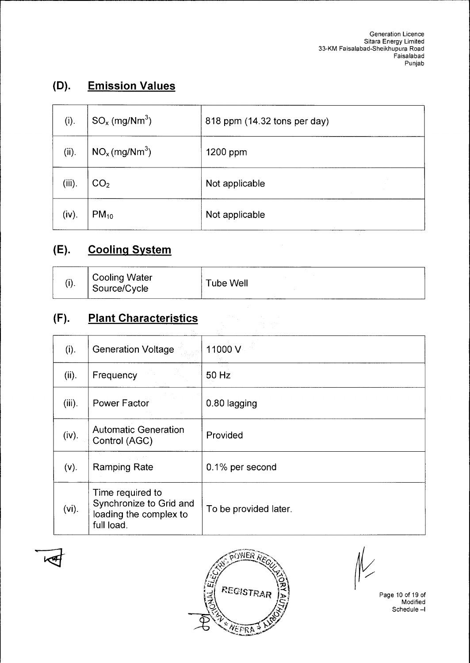## **(D). Emission Values**

| (i).      | $SO_x$ (mg/Nm <sup>3</sup> )          | 818 ppm (14.32 tons per day) |
|-----------|---------------------------------------|------------------------------|
| (ii).     | NO <sub>x</sub> (mg/Nm <sup>3</sup> ) | 1200 ppm                     |
| $(iii)$ . | CO <sub>2</sub>                       | Not applicable               |
| (iv).     | $PM_{10}$                             | Not applicable               |

### **(E). Cooling System**

| (i). | <b>Cooling Water</b><br>Source/Cycle | Tube Well |
|------|--------------------------------------|-----------|
|------|--------------------------------------|-----------|

### **(F). Plant Characteristics**

| (i).      | <b>Generation Voltage</b>                                                           | 11000 V               |
|-----------|-------------------------------------------------------------------------------------|-----------------------|
| (ii).     | Frequency                                                                           | 50 Hz                 |
| $(iii)$ . | <b>Power Factor</b>                                                                 | 0.80 lagging          |
| (iv).     | <b>Automatic Generation</b><br>Control (AGC)                                        | Provided              |
| $(v)$ .   | <b>Ramping Rate</b>                                                                 | 0.1% per second       |
| $(vi)$ .  | Time required to<br>Synchronize to Grid and<br>loading the complex to<br>full load. | To be provided later. |



 $\llap{$\frac{\ell}{2}$}$ 

Page 10 of 19 of Modified Schedule —I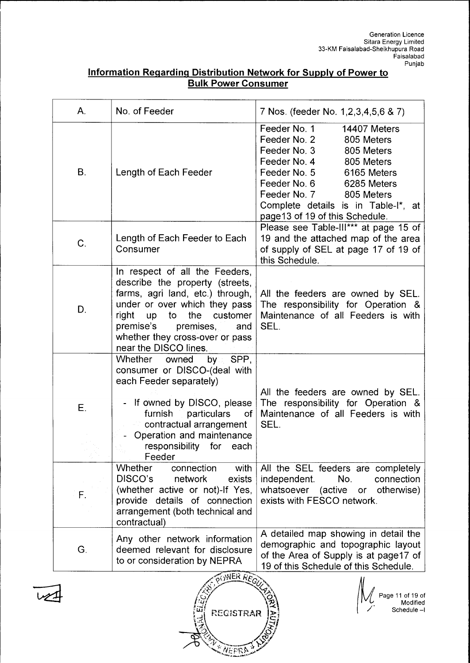|                            | Information Regarding Distribution Network for Supply of Power to |
|----------------------------|-------------------------------------------------------------------|
| <b>Bulk Power Consumer</b> |                                                                   |

| Α.          | No. of Feeder                                                                                                                                                                                                                                                               | 7 Nos. (feeder No. 1, 2, 3, 4, 5, 6 & 7)                                                                                                                                                                                                                                                  |
|-------------|-----------------------------------------------------------------------------------------------------------------------------------------------------------------------------------------------------------------------------------------------------------------------------|-------------------------------------------------------------------------------------------------------------------------------------------------------------------------------------------------------------------------------------------------------------------------------------------|
| <b>B.</b>   | Length of Each Feeder                                                                                                                                                                                                                                                       | Feeder No. 1<br>14407 Meters<br>Feeder No. 2<br>805 Meters<br>Feeder No. 3<br>805 Meters<br>Feeder No. 4<br>805 Meters<br>Feeder No. 5<br>6165 Meters<br>Feeder No. 6<br>6285 Meters<br>Feeder No. 7 805 Meters<br>Complete details is in Table-I*, at<br>page 13 of 19 of this Schedule. |
| C.          | Length of Each Feeder to Each<br>Consumer                                                                                                                                                                                                                                   | Please see Table-III*** at page 15 of<br>19 and the attached map of the area<br>of supply of SEL at page 17 of 19 of<br>this Schedule.                                                                                                                                                    |
| D.          | In respect of all the Feeders,<br>describe the property (streets,<br>farms, agri land, etc.) through,<br>under or over which they pass<br>the<br>right<br>to<br>customer<br>up<br>premise's<br>premises,<br>and<br>whether they cross-over or pass<br>near the DISCO lines. | All the feeders are owned by SEL.<br>The responsibility for Operation &<br>Maintenance of all Feeders is with<br>SEL.                                                                                                                                                                     |
|             | by SPP.<br>Whether<br>owned<br>consumer or DISCO-(deal with<br>each Feeder separately)                                                                                                                                                                                      |                                                                                                                                                                                                                                                                                           |
| Ε.          | - If owned by DISCO, please<br>furnish particulars<br>of l<br>contractual arrangement<br>Operation and maintenance<br>responsibility for<br>each<br>Feeder                                                                                                                  | All the feeders are owned by SEL.<br>The responsibility for Operation &<br>Maintenance of all Feeders is with<br>SEL.                                                                                                                                                                     |
| $F_{\cdot}$ | <b>Whether</b><br>with<br>connection<br>DISCO's<br>network<br>exists<br>(whether active or not)-If Yes,<br>provide details of connection<br>arrangement (both technical and<br>contractual)                                                                                 | All the SEL feeders are completely<br>No.<br>connection<br>independent.<br>whatsoever (active or otherwise)<br>exists with FESCO network.                                                                                                                                                 |
| G.          | Any other network information<br>deemed relevant for disclosure<br>to or consideration by NEPRA                                                                                                                                                                             | A detailed map showing in detail the<br>demographic and topographic layout<br>of the Area of Supply is at page17 of<br>19 of this Schedule of this Schedule.                                                                                                                              |
|             | WER REGULA                                                                                                                                                                                                                                                                  | Page 11 of 19 of                                                                                                                                                                                                                                                                          |



 $\vert$ ' $\vert$ 

 $\vec{z}$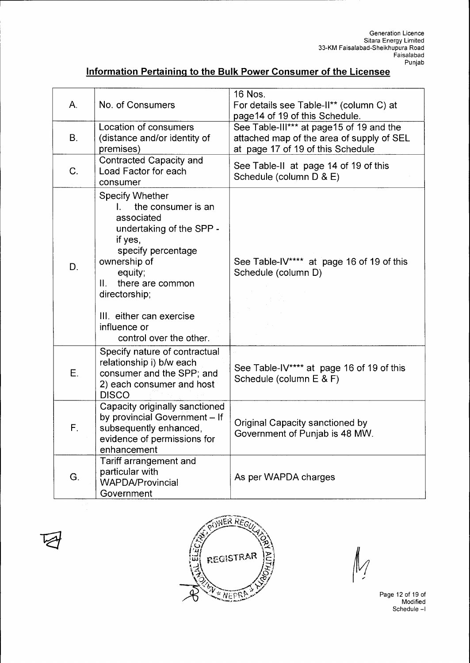### **Information Pertaining to the Bulk Power Consumer of the Licensee**

| А. | No. of Consumers                                                                                                                                                                                                                                                                     | 16 Nos.<br>For details see Table-II** (column C) at<br>page 14 of 19 of this Schedule.                                     |
|----|--------------------------------------------------------------------------------------------------------------------------------------------------------------------------------------------------------------------------------------------------------------------------------------|----------------------------------------------------------------------------------------------------------------------------|
| В. | Location of consumers<br>(distance and/or identity of<br>premises)                                                                                                                                                                                                                   | See Table-III*** at page15 of 19 and the<br>attached map of the area of supply of SEL<br>at page 17 of 19 of this Schedule |
| C. | Contracted Capacity and<br>Load Factor for each<br>consumer                                                                                                                                                                                                                          | See Table-II at page 14 of 19 of this<br>Schedule (column D & E)                                                           |
| D. | <b>Specify Whether</b><br>the consumer is an<br>$\mathbf{L}$<br>associated<br>undertaking of the SPP -<br>if yes,<br>specify percentage<br>ownership of<br>equity;<br>there are common<br>Ш.<br>directorship;<br>III. either can exercise<br>influence or<br>control over the other. | See Table-IV**** at page 16 of 19 of this<br>Schedule (column D)                                                           |
| Ε. | Specify nature of contractual<br>relationship i) b/w each<br>consumer and the SPP; and<br>2) each consumer and host<br><b>DISCO</b>                                                                                                                                                  | See Table-IV**** at page 16 of 19 of this<br>Schedule (column E & F)                                                       |
| F. | Capacity originally sanctioned<br>by provincial Government - If<br>subsequently enhanced,<br>evidence of permissions for<br>enhancement                                                                                                                                              | Original Capacity sanctioned by<br>Government of Punjab is 48 MW.                                                          |
| G. | Tariff arrangement and<br>particular with<br><b>WAPDA/Provincial</b><br>Government                                                                                                                                                                                                   | As per WAPDA charges                                                                                                       |





Page 12 of 19 of Modified Schedule -1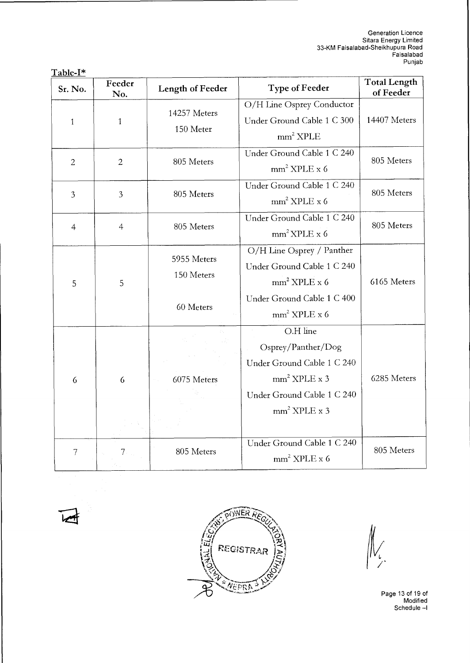| <u> 1 avr. 1</u><br>Sr. No. | Feeder<br>No.  | <b>Length of Feeder</b>                | <b>Type of Feeder</b>                                                                                                          | <b>Total Length</b><br>of Feeder |
|-----------------------------|----------------|----------------------------------------|--------------------------------------------------------------------------------------------------------------------------------|----------------------------------|
| $\mathbf{1}$                | $\mathbf{1}$   | 14257 Meters<br>150 Meter              | O/H Line Osprey Conductor<br>Under Ground Cable 1 C 300<br>$mm2$ XPLE                                                          | 14407 Meters                     |
| $\overline{2}$              | $\overline{2}$ | 805 Meters                             | Under Ground Cable 1 C 240<br>$mm2$ XPLE x 6                                                                                   | 805 Meters                       |
| 3                           | $\overline{3}$ | 805 Meters                             | Under Ground Cable 1 C 240<br>$mm2$ XPLE x 6                                                                                   | 805 Meters                       |
| $\overline{4}$              | $\overline{4}$ | 805 Meters                             | Under Ground Cable 1 C 240<br>mm <sup>2</sup> XPLE x 6                                                                         | 805 Meters                       |
| 5                           | 5              | 5955 Meters<br>150 Meters<br>60 Meters | O/H Line Osprey / Panther<br>Under Ground Cable 1 C 240<br>$mm2$ XPLE x 6<br>Under Ground Cable 1 C 400<br>$mm2$ XPLE x 6      | 6165 Meters                      |
| 6                           | 6              | 6075 Meters                            | O.H line<br>Osprey/Panther/Dog<br>Under Ground Cable 1 C 240<br>$mm2$ XPLE x 3<br>Under Ground Cable 1 C 240<br>$mm2$ XPLE x 3 | 6285 Meters                      |
| 7                           |                | 805 Meters                             | Under Ground Cable 1 C 240<br>$mm2$ XPLE x 6                                                                                   | 805 Meters                       |

**Table-I\*** 





 $\frac{1}{2}$ 

Page 13 of 19 of Modified Schedule —I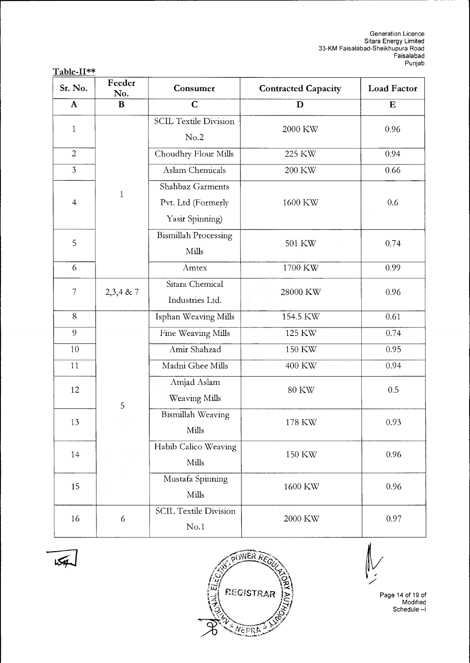| 'able-∏<br>. |
|--------------|
|--------------|

| Sr. No.        | Feeder<br>No. | Consumer<br><b>Contracted Capacity</b>                    |              | <b>Load Factor</b> |  |
|----------------|---------------|-----------------------------------------------------------|--------------|--------------------|--|
| $\mathbf{A}$   | $\bf{B}$      | $\mathbf C$                                               | D            | $\bf E$            |  |
| $\mathbf{1}$   |               | <b>SCIL Textile Division</b><br>No.2                      | 2000 KW      | 0.96               |  |
| $\overline{c}$ |               | Choudhry Flour Mills                                      | 225 KW       | 0.94               |  |
| $\mathfrak{Z}$ |               | <b>Aslam Chemicals</b>                                    | 200 KW       | 0.66               |  |
| $\overline{4}$ | $\mathbf{1}$  | Shahbaz Garments<br>Pvt. Ltd (Formerly<br>Yasir Spinning) | 1600 KW      | 0.6                |  |
| 5              |               | <b>Bismillah Processing</b><br>Mills                      | 501 KW       | 0.74               |  |
| 6              |               | Amtex                                                     | 1700 KW      | 0.99               |  |
| $\overline{7}$ | $2,3,4$ & 7   | Sitara Chemical<br>Industries Ltd.                        | 28000 KW     | 0.96               |  |
| 8              |               | Isphan Weaving Mills                                      | 154.5 KW     | 0.61               |  |
| 9              |               | Fine Weaving Mills                                        | 125 KW       | 0.74               |  |
| $10\,$         |               | Amir Shahzad                                              | 150 KW       | 0.95               |  |
| 11             |               | Madni Ghee Mills                                          | 400 KW       | 0.94               |  |
| 12             | 5             | Amjad Aslam<br>Weaving Mills                              | <b>80 KW</b> | 0.5                |  |
| 13             |               | <b>Bismillah Weaving</b><br>Mills                         | 178 KW       | 0.93               |  |
| 14             |               | Habib Calico Weaving<br>Mills                             | 150 KW       | 0.96               |  |
| $-15$          |               | Mustafa Spinning<br>Mills                                 | 1600 KW      | 0.96               |  |
| 16             | 6             | <b>SCIL Textile Division</b><br>No.1                      | 2000 KW      | 0.97               |  |





Page 14 of 19 of Modified Schedule —1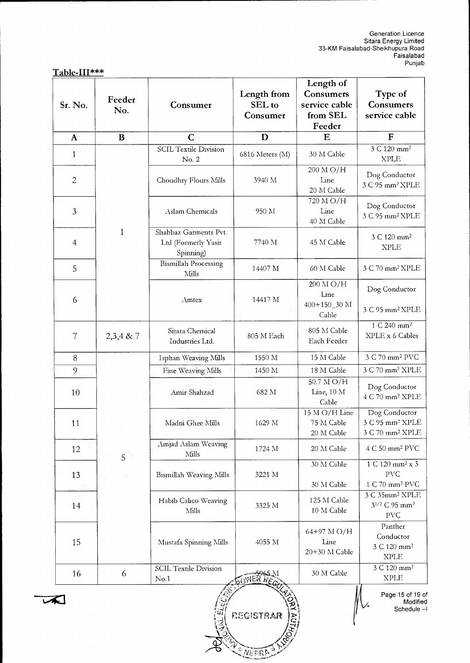|  |  |  | Table-III*** |  |  |
|--|--|--|--------------|--|--|
|  |  |  |              |  |  |

| Sr. No.        | Feeder<br>No.  | Consumer                                                  | Length from<br>SEL to<br>Consumer | Length of<br>Consumers<br>service cable<br>from SEL<br>Feeder | Type of<br>Consumers<br>service cable                                       |  |
|----------------|----------------|-----------------------------------------------------------|-----------------------------------|---------------------------------------------------------------|-----------------------------------------------------------------------------|--|
| $\mathbf{A}$   | $\bf{B}$       | $\mathbf C$                                               | D                                 | E                                                             | $\mathbf F$                                                                 |  |
| $\mathbf{1}$   |                | <b>SCIL Textile Division</b><br>No. 2                     | 6816 Meters (M)                   | 30 M Cable                                                    | $3 \text{ C } 120 \text{ mm}^2$<br><b>XPLE</b>                              |  |
| $\mathbf{2}$   |                | Choudhry Flours Mills                                     | 3940 M                            | 200 M O/H<br>Line<br>20 M Cable                               | Dog Conductor<br>3 C 95 mm <sup>2</sup> XPLE                                |  |
| 3              |                | Aslam Chemicals                                           | 950 M                             | 720 M O/H<br>Line<br>40 M Cable                               | Dog Conductor<br>3 C 95 mm <sup>2</sup> XPLE                                |  |
| $\overline{4}$ | $\mathbf{1}$   | Shahbaz Garments Pvt.<br>Ltd (Formerly Yasir<br>Spinning) | 7740 M                            | 45 M Cable                                                    | 3 C 120 mm <sup>2</sup><br><b>XPLE</b>                                      |  |
| 5              |                | <b>Bismillah Processing</b><br>Mills                      | 14407 M                           | 60 M Cable                                                    | 3 C 70 mm <sup>2</sup> XPLE                                                 |  |
| 6              |                | Amtex                                                     | 14417 M                           | 200 M O/H<br>Line<br>400+150_30 M<br>Cable                    | Dog Conductor<br>3 C 95 mm <sup>2</sup> XPLE                                |  |
| 7              | $2,3,4 \& 7$   | Sitara Chemical<br>Industries Ltd.                        | 805 M Each                        | 805 M Cable<br>Each Feeder                                    | 1 C 240 mm <sup>2</sup><br>XPLE x 6 Cables                                  |  |
| 8              |                | Isphan Weaving Mills                                      | 1550 M                            | 15 M Cable                                                    | 3 C 70 mm <sup>2</sup> PVC                                                  |  |
| 9              |                | Fine Weaving Mills                                        | 1450 M                            | 18 M Cable                                                    | 3 C 70 mm <sup>2</sup> XPLE                                                 |  |
| 10             |                | Amir Shahzad                                              | 682 M                             | 50.7 M O/H<br>Line, 10 M<br>Cable                             | Dog Conductor<br>4 C 70 mm <sup>2</sup> XPLE                                |  |
| 11             |                | Madni Ghee Mills                                          | 1629 M                            | 15 M O/H Line<br>75 M Cable<br>20 M Cable                     | Dog Conductor<br>3 C 95 mm <sup>2</sup> XPLE<br>3 C 70 mm <sup>2</sup> XPLE |  |
| 12             | 5 <sup>2</sup> | Amjad Aslam Weaving<br>Mills                              | 1724 M                            | 20 M Cable                                                    | 4 C 50 mm <sup>2</sup> PVC                                                  |  |
| 13             |                | Bismillah Weaving Mills                                   | 3221 M                            | 30 M Cable<br>30 M Cable                                      | 1 C 120 mm <sup>2</sup> x 3<br><b>PVC</b><br>1 C 70 mm <sup>2</sup> PVC     |  |
| 14             |                | Habib Calico Weaving<br>Mills                             | 3325 M                            | 125 M Cable<br>10 M Cable                                     | 3 C 35mm <sup>2</sup> XPLE<br>31/2 C 95 mm <sup>2</sup><br><b>PVC</b>       |  |
| 15             |                | Mustafa Spinning Mills                                    | 4055 M                            | 64+97 M O/H<br>Line<br>20+30 M Cable                          | Panther<br>Conductor<br>3 C 120 mm <sup>2</sup><br><b>XPLE</b>              |  |
| 16             | 6              | <b>SCIL Textile Division</b><br>No.1                      | <b>WER REGE</b>                   | 30 M Cable                                                    | $3 \text{ C } 120 \text{ mm}^2$<br>$\ensuremath{\text{XPLE}}$               |  |

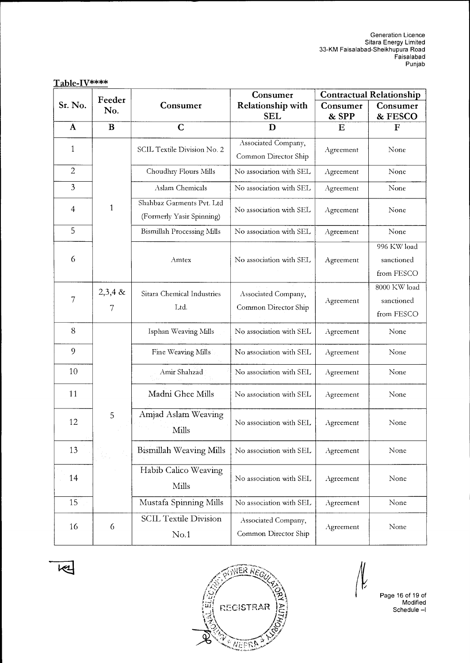|                          | Feeder         |                                                        | Consumer                                    | <b>Contractual Relationship</b> |                                          |  |
|--------------------------|----------------|--------------------------------------------------------|---------------------------------------------|---------------------------------|------------------------------------------|--|
| Sr. No.                  | No.            | Consumer                                               | <b>Relationship with</b><br><b>SEL</b>      | Consumer<br>& SPP               | Consumer<br>& FESCO                      |  |
| A                        | B              | $\mathbf C$                                            | D                                           | Ε                               | F                                        |  |
|                          |                |                                                        | Associated Company,                         |                                 |                                          |  |
| 1                        |                | SCIL Textile Division No. 2                            | Common Director Ship                        | Agreement                       | None                                     |  |
| $\overline{2}$           |                | Choudhry Flours Mills                                  | No association with SEL                     | Agreement                       | None                                     |  |
| 3                        |                | Aslam Chemicals                                        | No association with SEL                     | Agreement                       | None                                     |  |
| $\overline{\mathcal{A}}$ | $\mathbf{1}$   | Shahbaz Garments Pvt. Ltd<br>(Formerly Yasir Spinning) | No association with SEL                     | Agreement                       | None                                     |  |
| 5                        |                | <b>Bismillah Processing Mills</b>                      | No association with SEL                     | Agreement                       | None                                     |  |
| 6                        |                | Amtex                                                  | No association with SEL                     | Agreement                       | 996 KW load<br>sanctioned<br>from FESCO  |  |
| 7                        | $2,3,4$ &<br>7 | Sitara Chemical Industries<br>Ltd.                     | Associated Company,<br>Common Director Ship | Agreement                       | 8000 KW load<br>sanctioned<br>from FESCO |  |
| 8                        |                | Isphan Weaving Mills                                   | No association with SEL                     | Agreement                       | None                                     |  |
| 9                        |                | Fine Weaving Mills                                     | No association with SEL                     | Agreement                       | None                                     |  |
| 10                       |                | Amir Shahzad                                           | No association with SEL                     | Agreement                       | None                                     |  |
| 11                       |                | Madni Ghee Mills                                       | No association with SEL                     | Agreement                       | None                                     |  |
| 12                       | 5              | Amjad Aslam Weaving<br>Mills                           | No association with SEL                     | Agreement                       | None                                     |  |
| 13                       |                | Bismillah Weaving Mills                                | No association with SEL                     | Agreement                       | None                                     |  |
| 14                       |                | Habib Calico Weaving<br>Mills                          | No association with SEL                     | Agreement                       | None                                     |  |
| 15                       |                | Mustafa Spinning Mills                                 | No association with SEL                     | Agreement                       | None                                     |  |
| 16                       | 6              | <b>SCIL Textile Division</b><br>No.1                   | Associated Company,<br>Common Director Ship | Agreement                       | None                                     |  |

Table-IV\*\*\*\*





No.1

K

Page 16 of 19 of Modified Schedule —1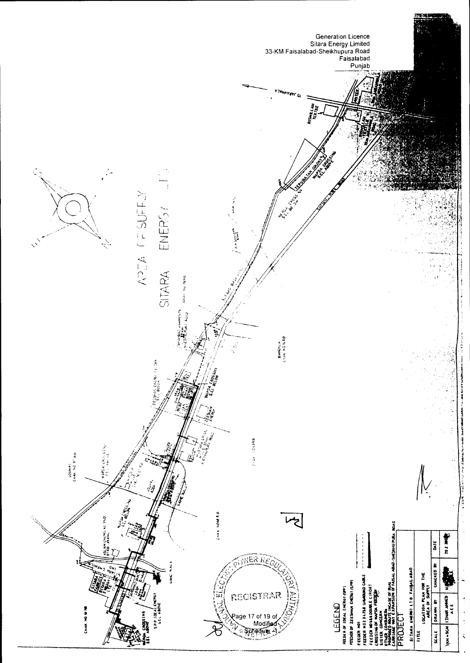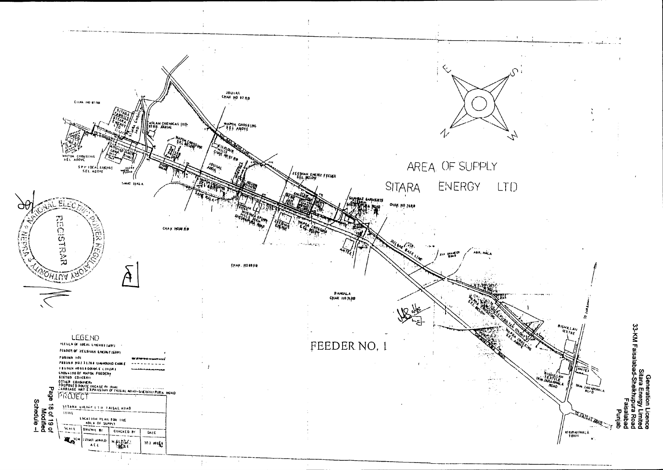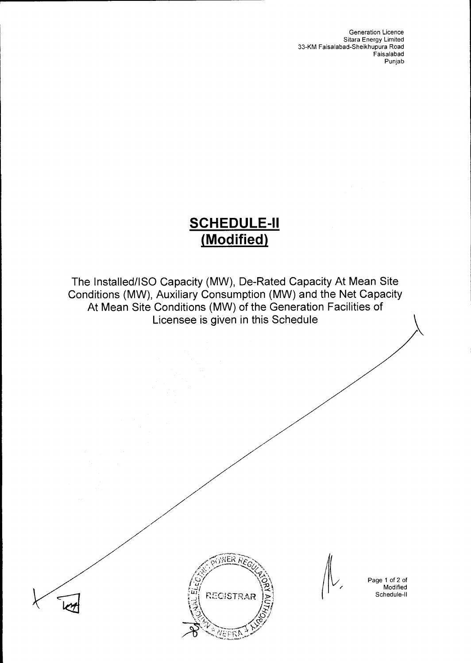Generation Licence Sitara Energy Limited 33-KM Faisalabad-Sheikhupura Road Faisalabad Punjab

# **SCHEDULE-II (Modified)**

The Installed/ISO Capacity (MW), De-Rated Capacity At Mean Site Conditions (MW), Auxiliary Consumption (MW) and the Net Capacity At Mean Site Conditions (MW) of the Generation Facilities of Licensee is given in this Schedule





Page 1 of 2 of Modified Schedule-II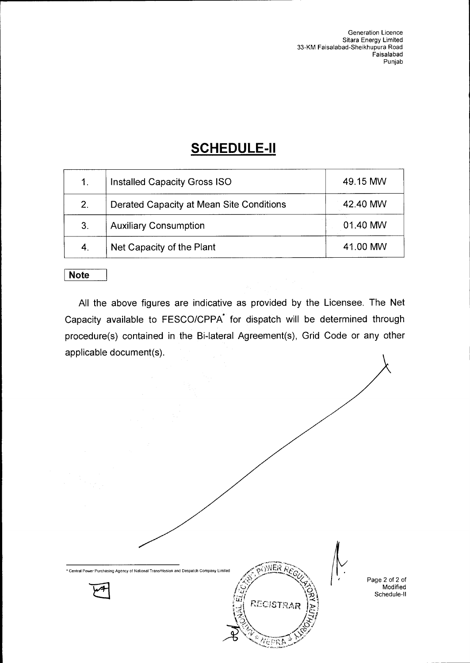Generation Licence Sitara Energy Limited 33-KM Faisalabad-Sheikhupura Road Faisalabad Punjab

# **SCHEDULE-II**

| 1 <sub>1</sub> | <b>Installed Capacity Gross ISO</b>      | 49.15 MW |
|----------------|------------------------------------------|----------|
| 2.             | Derated Capacity at Mean Site Conditions | 42.40 MW |
| 3.             | <b>Auxiliary Consumption</b>             | 01.40 MW |
| 4.             | Net Capacity of the Plant                | 41.00 MW |

### **Note**

All the above figures are indicative as provided by the Licensee. The Net Capacity available to FESCO/CPPA<sup>\*</sup> for dispatch will be determined through procedure(s) contained in the Bi-lateral Agreement(s), Grid Code or any other applicable document(s).

111,

 $50$ YNER

REC4STRAR

 $\hat{S}^{\lambda}_{\mathbf{D}}$ 

*wry*  **industrial** 

• Central Power Purchasing Agency of National Transmission and Despatch Company Limited

Page 2 of 2 of Modified Schedule-II

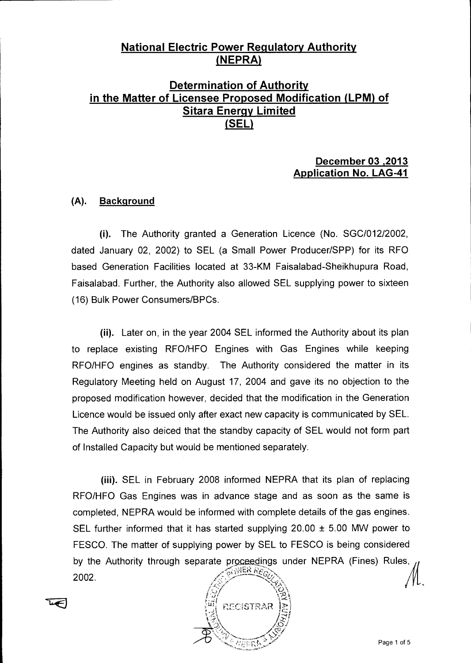### **National Electric Power Regulatory Authority**  (**NEPRA**)

### **Determination of Authority in the Matter of Licensee Proposed Modification (LPM) of Sitara Energy Limited (SEL)**

### **December 03 ,2013 Application No. LAG-41**

### **(A). Background**

(i). The Authority granted a Generation Licence (No. SGC/012/2002, dated January 02, 2002) to SEL (a Small Power Producer/SPP) for its RFO based Generation Facilities located at 33-KM Faisalabad-Sheikhupura Road, Faisalabad. Further, the Authority also allowed SEL supplying power to sixteen (16) Bulk Power Consumers/BPCs.

(ii). Later on, in the year 2004 SEL informed the Authority about its plan to replace existing RFO/HFO Engines with Gas Engines while keeping RFO/HFO engines as standby. The Authority considered the matter in its Regulatory Meeting held on August 17, 2004 and gave its no objection to the proposed modification however, decided that the modification in the Generation Licence would be issued only after exact new capacity is communicated by SEL. The Authority also deiced that the standby capacity of SEL would not form part of Installed Capacity but would be mentioned separately.

(iii). SEL in February 2008 informed NEPRA that its plan of replacing RFO/HFO Gas Engines was in advance stage and as soon as the same is completed, NEPRA would be informed with complete details of the gas engines. SEL further informed that it has started supplying 20.00  $\pm$  5.00 MW power to FESCO. The matter of supplying power by SEL to FESCO is being considered 2002. by the Authority through separate proceedings under NEPRA (Fines) Rules,  $\pi$ , wiek  $Re$ , •:` " n ,Y,k-', .

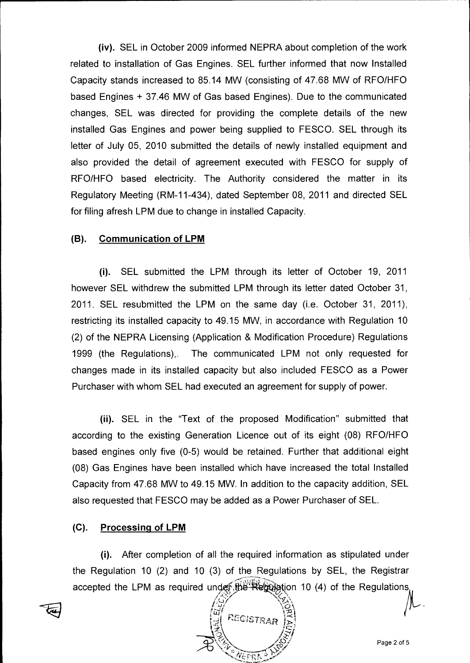**(iv).** SEL in October 2009 informed NEPRA about completion of the work related to installation of Gas Engines. SEL further informed that now Installed Capacity stands increased to 85.14 MW (consisting of 47.68 MW of RFO/HFO based Engines + 37.46 MW of Gas based Engines). Due to the communicated changes, SEL was directed for providing the complete details of the new installed Gas Engines and power being supplied to FESCO. SEL through its letter of July 05, 2010 submitted the details of newly installed equipment and also provided the detail of agreement executed with FESCO for supply of RFO/HFO based electricity. The Authority considered the matter in its Regulatory Meeting (RM-11-434), dated September 08, 2011 and directed SEL for filing afresh LPM due to change in installed Capacity.

#### **(B). Communication of LPM**

(i). SEL submitted the LPM through its letter of October 19, 2011 however SEL withdrew the submitted LPM through its letter dated October 31, 2011. SEL resubmitted the LPM on the same day (i.e. October 31, 2011), restricting its installed capacity to 49.15 MW, in accordance with Regulation 10 (2) of the NEPRA Licensing (Application & Modification Procedure) Regulations 1999 (the Regulations),. The communicated LPM not only requested for changes made in its installed capacity but also included FESCO as a Power Purchaser with whom SEL had executed an agreement for supply of power.

(ii). SEL in the "Text of the proposed Modification" submitted that according to the existing Generation Licence out of its eight (08) RFO/HFO based engines only five (0-5) would be retained. Further that additional eight (08) Gas Engines have been installed which have increased the total Installed Capacity from 47.68 MW to 49.15 MW. In addition to the capacity addition, SEL also requested that FESCO may be added as a Power Purchaser of SEL.

#### **(C). Processing of LPM**

(i). After completion of all the required information as stipulated under the Regulation 10 (2) and 10 (3) of the Regulations by SEL, the Registrar accepted the LPM as required under the Regulation 10 (4) of the Regulations.

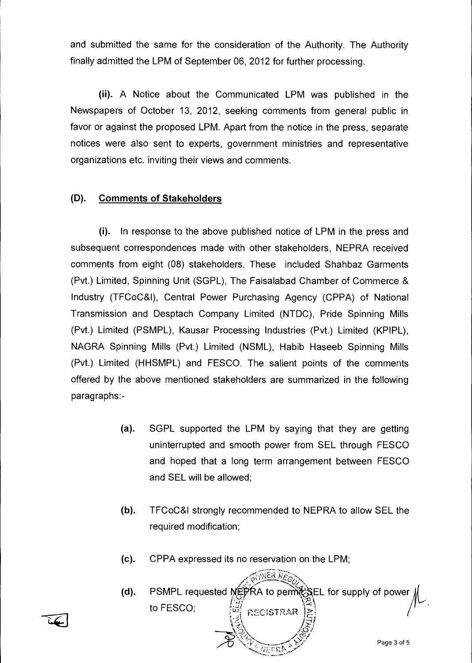and submitted the same for the consideration of the Authority. The Authority finally admitted the LPM of September 06, 2012 for further processing.

**(ii).** A Notice about the Communicated LPM was published in the Newspapers of October 13, 2012, seeking comments from general public in favor or against the proposed LPM. Apart from the notice in the press, separate notices were also sent to experts, government ministries and representative organizations etc. inviting their views and comments.

### **(D). Comments of Stakeholders**

(i). In response to the above published notice of LPM in the press and subsequent correspondences made with other stakeholders, NEPRA received comments from eight (08) stakeholders. These included Shahbaz Garments (Pvt.) Limited, Spinning Unit (SGPL), The Faisalabad Chamber of Commerce & Industry (TFCoC&I), Central Power Purchasing Agency (CPPA) of National Transmission and Desptach Company Limited (NTDC), Pride Spinning Mills (Pvt.) Limited (PSMPL), Kausar Processing Industries (Pvt.) Limited (KPIPL), NAGRA Spinning Mills (Pvt.) Limited (NSML), Habib Haseeb Spinning Mills (Pvt.) Limited (HHSMPL) and FESCO. The salient points of the comments offered by the above mentioned stakeholders are summarized in the following paragraphs:-

- (a). SGPL supported the LPM by saying that they are getting uninterrupted and smooth power from SEL through FESCO and hoped that a long term arrangement between FESCO and SEL will be allowed;
- (b). TFCoC&I strongly recommended to NEPRA to allow SEL the required modification;
- (c). CPPA expressed its no reservation on the LPM;

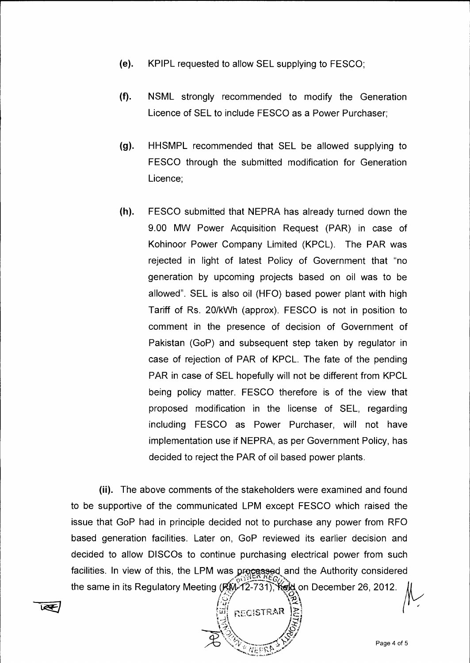- (e). KPIPL requested to allow SEL supplying to FESCO;
- (f). NSML strongly recommended to modify the Generation Licence of SEL to include FESCO as a Power Purchaser;
- (g). HHSMPL recommended that SEL be allowed supplying to FESCO through the submitted modification for Generation Licence;
- (h). FESCO submitted that NEPRA has already turned down the 9.00 MW Power Acquisition Request (PAR) in case of Kohinoor Power Company Limited (KPCL). The PAR was rejected in light of latest Policy of Government that "no generation by upcoming projects based on oil was to be allowed". SEL is also oil (HFO) based power plant with high Tariff of Rs. 20/kWh (approx). FESCO is not in position to comment in the presence of decision of Government of Pakistan (GoP) and subsequent step taken by regulator in case of rejection of PAR of KPCL. The fate of the pending PAR in case of SEL hopefully will not be different from KPCL being policy matter. FESCO therefore is of the view that proposed modification in the license of SEL, regarding including FESCO as Power Purchaser, will not have implementation use if NEPRA, as per Government Policy, has decided to reject the PAR of oil based power plants.

**(ii).** The above comments of the stakeholders were examined and found to be supportive of the communicated LPM except FESCO which raised the issue that GoP had in principle decided not to purchase any power from RFO based generation facilities. Later on, GoP reviewed its earlier decision and decided to allow DISCOs to continue purchasing electrical power from such facilities. In view of this, the LPM was processed and the Authority considered the same in its Regulatory Meeting  $(RW-12-731)$ ;  $K\epsilon M$  on December 26, 2012.